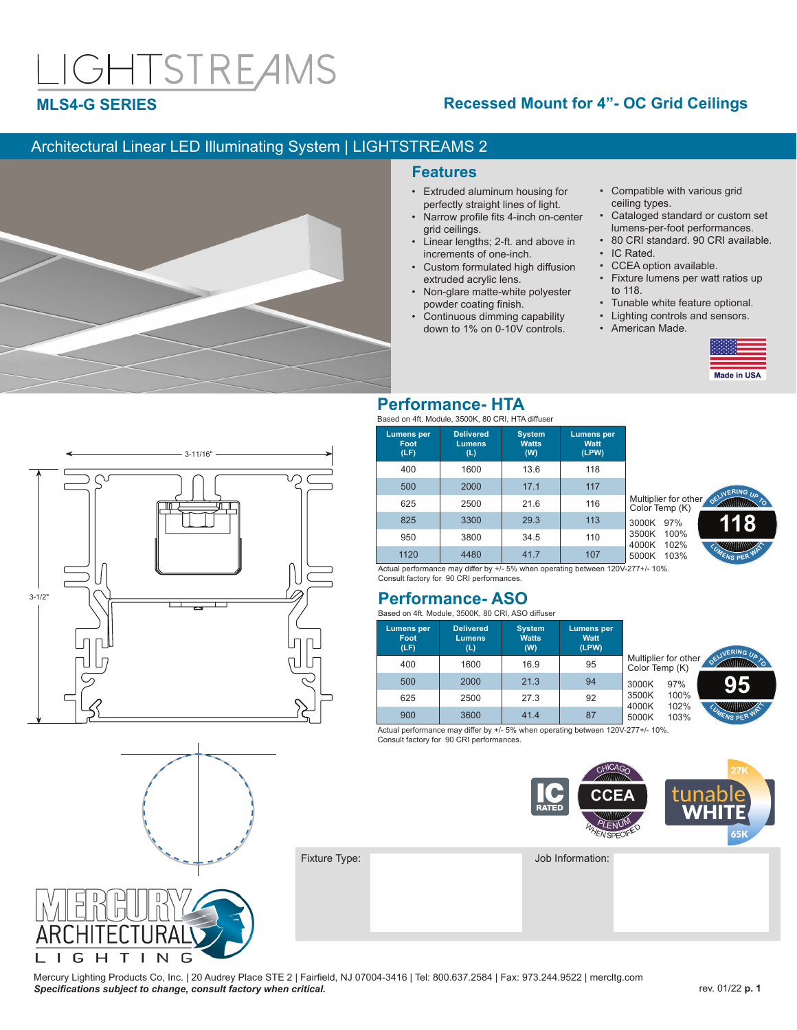# IGHTSTREAMS

## **MLS4-G SERIES**

## **Recessed Mount for 4"- OC Grid Ceilings**

## Architectural Linear LED Illuminating System | LIGHTSTREAMS 2



### **Features**

- Extruded aluminum housing for perfectly straight lines of light.
- Narrow profile fits 4-inch on-center grid ceilings.
- Linear lengths; 2-ft. and above in increments of one-inch.
- Custom formulated high diffusion extruded acrylic lens.
- Non-glare matte-white polyester powder coating finish.
- Continuous dimming capability down to 1% on 0-10V controls.
- Compatible with various grid ceiling types.
- Cataloged standard or custom set lumens-per-foot performances.
- 80 CRI standard. 90 CRI available. • IC Rated
- CCEA option available.
- Fixture lumens per watt ratios up to 118.
- Tunable white feature optional.<br>• Lighting controls and sensors
- Lighting controls and sensors.
- American Made.





## **Performance- HTA**

Based on 4ft. Module, 3500K, 80 CRI, HTA diffuser

| <b>Lumens per</b><br>Foot<br>(LF) | <b>Delivered</b><br><b>Lumens</b><br>(L) | <b>System</b><br><b>Watts</b><br>(W) | <b>Lumens</b> per<br>Watt<br>(LPW) |          |
|-----------------------------------|------------------------------------------|--------------------------------------|------------------------------------|----------|
| 400                               | 1600                                     | 13.6                                 | 118                                |          |
| 500                               | 2000                                     | 17.1                                 | 117                                |          |
| 625                               | 2500                                     | 21.6                                 | 116                                | Mι<br>Сc |
| 825                               | 3300                                     | 29.3                                 | 113                                | 30       |
| 950                               | 3800                                     | 34.5                                 | 110                                | 35<br>40 |
| 1120                              | 4480                                     | 41.7                                 | 107                                | 50       |



Actual performance may differ by +/- 5% when operating between 120V-277+/- 10%. Consult factory for 90 CRI performances.

## **Performance- ASO**

Based on 4ft. Module, 3500K, 80 CRI, ASO diffuser

|                         | <b>Lumens per</b><br>Watt<br>(LPW) | <b>System</b><br><b>Watts</b><br>(W) | <b>Delivered</b><br><b>Lumens</b><br>(L) | <b>Lumens per</b><br>Foot<br>(LF) |
|-------------------------|------------------------------------|--------------------------------------|------------------------------------------|-----------------------------------|
| Multiplier<br>Color Ter | 95                                 | 16.9                                 | 1600                                     | 400                               |
| 3000K                   | 94                                 | 21.3                                 | 2000                                     | 500                               |
| 3500K<br>4000K          | 92                                 | 27.3                                 | 2500                                     | 625                               |
| 5000K                   | 87                                 | 41.4                                 | 3600                                     | 900                               |



Actual performance may differ by +/- 5% when operating between 120V-277+/- 10%. Consult factory for 90 CRI performances.





Mercury Lighting Products Co, Inc. | 20 Audrey Place STE 2 | Fairfield, NJ 07004-3416 | Tel: 800.637.2584 | Fax: 973.244.9522 | mercltg.com **Specifications subject to change, consult factory when critical. Specifications in the consult factory when critical.** *Specifications* **subject to change, consult factory when critical. <b>***Specifications*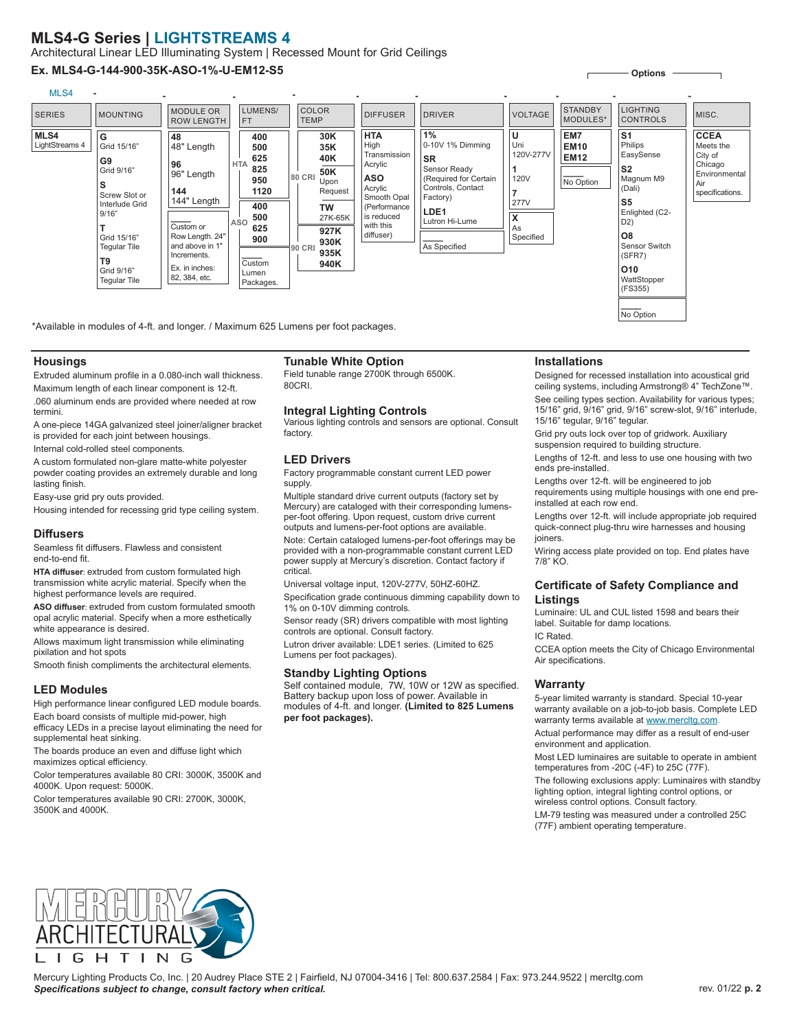## **MLS4-G Series | LIGHTSTREAMS 4**

Architectural Linear LED Illuminating System | Recessed Mount for Grid Ceilings

#### **Ex. MLS4-G-144-900-35K-ASO-1%-U-EM12-S5**



\*Available in modules of 4-ft. and longer. / Maximum 625 Lumens per foot packages.

#### **Housings**

Extruded aluminum profile in a 0.080-inch wall thickness. Maximum length of each linear component is 12-ft.

.060 aluminum ends are provided where needed at row termini.

A one-piece 14GA galvanized steel joiner/aligner bracket is provided for each joint between housings.

Internal cold-rolled steel components.

A custom formulated non-glare matte-white polyester

powder coating provides an extremely durable and long lasting finish.

Easy-use grid pry outs provided.

Housing intended for recessing grid type ceiling system.

#### **Diffusers**

Seamless fit diffusers. Flawless and consistent end-to-end fit.

**HTA diffuser**: extruded from custom formulated high transmission white acrylic material. Specify when the highest performance levels are required.

**ASO diffuser**: extruded from custom formulated smooth opal acrylic material. Specify when a more esthetically white appearance is desired.

Allows maximum light transmission while eliminating pixilation and hot spots

Smooth finish compliments the architectural elements.

#### **LED Modules**

High performance linear configured LED module boards. Each board consists of multiple mid-power, high efficacy LEDs in a precise layout eliminating the need for supplemental heat sinking.

The boards produce an even and diffuse light which maximizes optical efficiency.

Color temperatures available 80 CRI: 3000K, 3500K and 4000K. Upon request: 5000K.

Color temperatures available 90 CRI: 2700K, 3000K, 3500K and 4000K.

### **Tunable White Option**

Field tunable range 2700K through 6500K. 80CRI.

#### **Integral Lighting Controls**

Various lighting controls and sensors are optional. Consult factory.

#### **LED Drivers**

Factory programmable constant current LED power supply.

Multiple standard drive current outputs (factory set by Mercury) are cataloged with their corresponding lumensper-foot offering. Upon request, custom drive current outputs and lumens-per-foot options are available.

Note: Certain cataloged lumens-per-foot offerings may be provided with a non-programmable constant current LED power supply at Mercury's discretion. Contact factory if critical.

Universal voltage input, 120V-277V, 50HZ-60HZ.

Specification grade continuous dimming capability down to 1% on 0-10V dimming controls.

Sensor ready (SR) drivers compatible with most lighting controls are optional. Consult factory.

Lutron driver available: LDE1 series. (Limited to 625 Lumens per foot packages).

#### **Standby Lighting Options**

Self contained module, 7W, 10W or 12W as specified. Battery backup upon loss of power. Available in modules of 4-ft. and longer. **(Limited to 825 Lumens per foot packages).**

#### **Installations**

Designed for recessed installation into acoustical grid ceiling systems, including Armstrong® 4" TechZone™.

**Options**

See ceiling types section. Availability for various types; 15/16" grid, 9/16" grid, 9/16" screw-slot, 9/16" interlude, 15/16" tegular, 9/16" tegular.

Grid pry outs lock over top of gridwork. Auxiliary suspension required to building structure.

Lengths of 12-ft. and less to use one housing with two ends pre-installed.

Lengths over 12-ft. will be engineered to job requirements using multiple housings with one end preinstalled at each row end.

Lengths over 12-ft. will include appropriate job required quick-connect plug-thru wire harnesses and housing joiners.

Wiring access plate provided on top. End plates have 7/8" KO.

#### **Certificate of Safety Compliance and Listings**

Luminaire: UL and CUL listed 1598 and bears their label. Suitable for damp locations.

IC Rated.

CCEA option meets the City of Chicago Environmental Air specifications.

#### **Warranty**

5-year limited warranty is standard. Special 10-year warranty available on a job-to-job basis. Complete LED warranty terms available at www.mercltg.com.

Actual performance may differ as a result of end-user environment and application.

Most LED luminaires are suitable to operate in ambient temperatures from -20C (-4F) to 25C (77F).

The following exclusions apply: Luminaires with standby lighting option, integral lighting control options, or wireless control options. Consult factory.

LM-79 testing was measured under a controlled 25C (77F) ambient operating temperature.